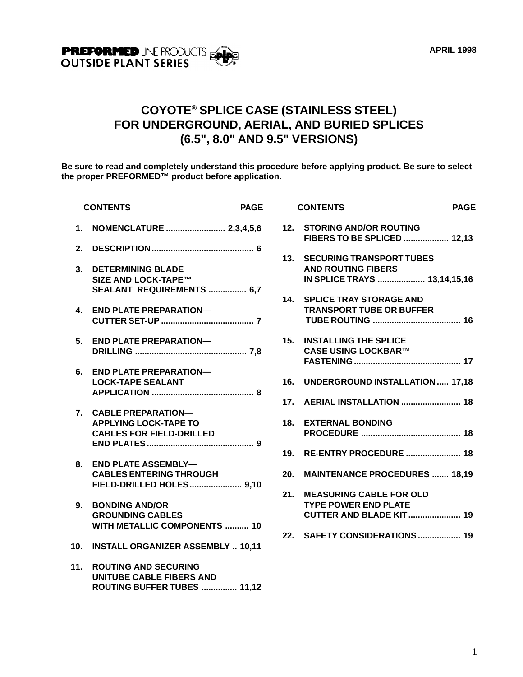



# **COYOTE® SPLICE CASE (STAINLESS STEEL) FOR UNDERGROUND, AERIAL, AND BURIED SPLICES (6.5", 8.0" AND 9.5" VERSIONS)**

**Be sure to read and completely understand this procedure before applying product. Be sure to select the proper PREFORMED™ product before application.**

|         | <b>CONTENTS</b>                                                                                      | <b>PAGE</b> |     | <b>CONTENTS</b>                                                       | <b>PAGE</b> |
|---------|------------------------------------------------------------------------------------------------------|-------------|-----|-----------------------------------------------------------------------|-------------|
| 1.      | NOMENCLATURE  2,3,4,5,6                                                                              |             |     | 12. STORING AND/OR ROUTING<br>FIBERS TO BE SPLICED  12,13             |             |
| 2.      |                                                                                                      |             |     | 13. SECURING TRANSPORT TUBES                                          |             |
| $3_{-}$ | <b>DETERMINING BLADE</b><br>SIZE AND LOCK-TAPE™<br>SEALANT REQUIREMENTS  6,7                         |             |     | <b>AND ROUTING FIBERS</b><br><b>IN SPLICE TRAYS  13,14,15,16</b>      |             |
|         | 4. END PLATE PREPARATION-                                                                            |             |     | <b>14. SPLICE TRAY STORAGE AND</b><br><b>TRANSPORT TUBE OR BUFFER</b> |             |
|         | 5. END PLATE PREPARATION-                                                                            |             |     | <b>15. INSTALLING THE SPLICE</b><br><b>CASE USING LOCKBAR™</b>        |             |
| 6.      | <b>END PLATE PREPARATION-</b><br><b>LOCK-TAPE SEALANT</b>                                            |             | 16. | <b>UNDERGROUND INSTALLATION  17,18</b>                                |             |
|         | 7. CABLE PREPARATION-                                                                                |             | 17. | <b>AERIAL INSTALLATION  18</b>                                        |             |
|         | <b>APPLYING LOCK-TAPE TO</b><br><b>CABLES FOR FIELD-DRILLED</b>                                      |             | 18. | <b>EXTERNAL BONDING</b>                                               |             |
|         | 8. END PLATE ASSEMBLY-                                                                               |             | 19. | <b>RE-ENTRY PROCEDURE  18</b>                                         |             |
|         | <b>CABLES ENTERING THROUGH</b><br>FIELD-DRILLED HOLES 9.10                                           |             | 20. | <b>MAINTENANCE PROCEDURES  18,19</b>                                  |             |
|         | 9. BONDING AND/OR                                                                                    |             | 21. | <b>MEASURING CABLE FOR OLD</b><br><b>TYPE POWER END PLATE</b>         |             |
|         | <b>GROUNDING CABLES</b><br><b>WITH METALLIC COMPONENTS  10</b>                                       |             |     | <b>CUTTER AND BLADE KIT 19</b>                                        |             |
|         | 10. INSTALL ORGANIZER ASSEMBLY  10,11                                                                |             |     | 22. SAFETY CONSIDERATIONS  19                                         |             |
| 11.     | <b>ROUTING AND SECURING</b><br><b>UNITUBE CABLE FIBERS AND</b><br><b>ROUTING BUFFER TUBES  11,12</b> |             |     |                                                                       |             |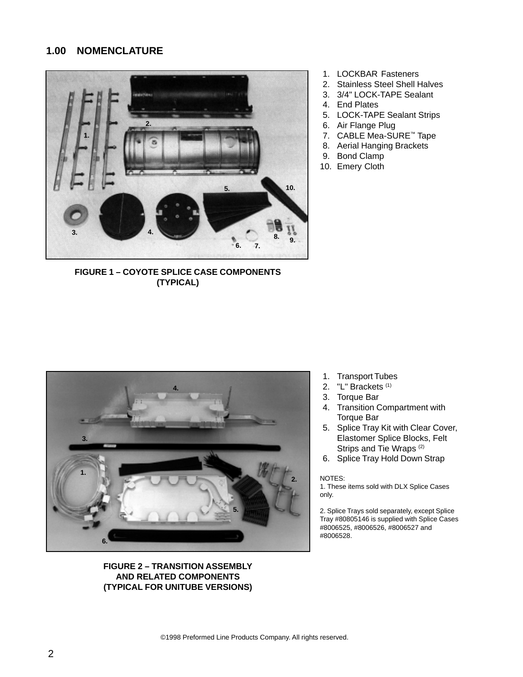#### **1.00 NOMENCLATURE**



**FIGURE 1 – COYOTE SPLICE CASE COMPONENTS (TYPICAL)**

**1. 2. 3. 4. 5. 6.**

> **FIGURE 2 – TRANSITION ASSEMBLY AND RELATED COMPONENTS (TYPICAL FOR UNITUBE VERSIONS)**

- 1. LOCKBAR Fasteners
- 2. Stainless Steel Shell Halves
- 3. 3/4" LOCK-TAPE Sealant
- 4. End Plates
- 5. LOCK-TAPE Sealant Strips
- 6. Air Flange Plug

1. Transport Tubes 2. "L" Brackets<sup>(1)</sup> 3. Torque Bar

Torque Bar

NOTES:

#8006528.

only.

4. Transition Compartment with

1. These items sold with DLX Splice Cases

2. Splice Trays sold separately, except Splice Tray #80805146 is supplied with Splice Cases #8006525, #8006526, #8006527 and

5. Splice Tray Kit with Clear Cover, Elastomer Splice Blocks, Felt Strips and Tie Wraps<sup>(2)</sup> 6. Splice Tray Hold Down Strap

- 7. CABLE Mea-SURE™ Tape
- 8. Aerial Hanging Brackets
- 9. Bond Clamp
- 10. Emery Cloth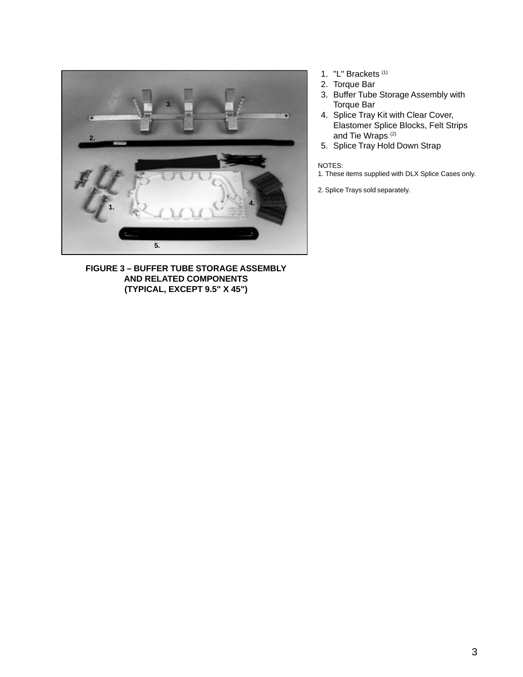

**FIGURE 3 – BUFFER TUBE STORAGE ASSEMBLY AND RELATED COMPONENTS (TYPICAL, EXCEPT 9.5" X 45")**

- 1. "L" Brackets (1)
- 2. Torque Bar
- 3. Buffer Tube Storage Assembly with Torque Bar
- 4. Splice Tray Kit with Clear Cover, Elastomer Splice Blocks, Felt Strips and Tie Wraps (2)
- 5. Splice Tray Hold Down Strap

#### NOTES:

- 1. These items supplied with DLX Splice Cases only.
- 2. Splice Trays sold separately.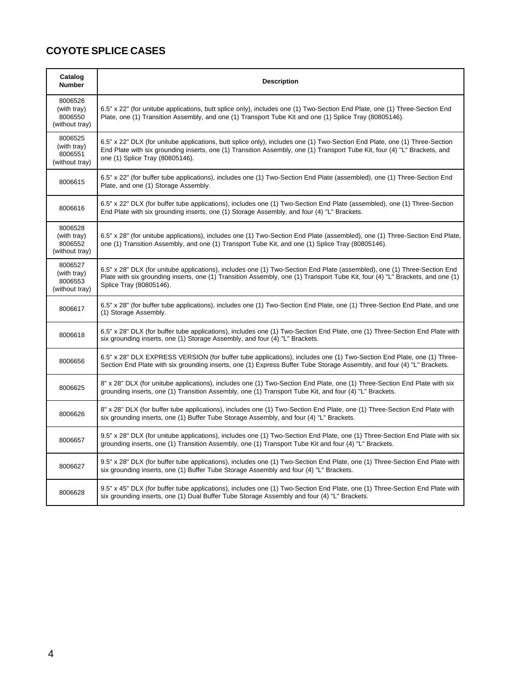# **COYOTE SPLICE CASES**

| Catalog<br><b>Number</b>                            | <b>Description</b>                                                                                                                                                                                                                                                                         |
|-----------------------------------------------------|--------------------------------------------------------------------------------------------------------------------------------------------------------------------------------------------------------------------------------------------------------------------------------------------|
| 8006526<br>(with tray)<br>8006550<br>(without tray) | 6.5" x 22" (for unitube applications, butt splice only), includes one (1) Two-Section End Plate, one (1) Three-Section End<br>Plate, one (1) Transition Assembly, and one (1) Transport Tube Kit and one (1) Splice Tray (80805146).                                                       |
| 8006525<br>(with tray)<br>8006551<br>(without tray) | 6.5" x 22" DLX (for unitube applications, butt splice only), includes one (1) Two-Section End Plate, one (1) Three-Section<br>End Plate with six grounding inserts, one (1) Transition Assembly, one (1) Transport Tube Kit, four (4) "L" Brackets, and<br>one (1) Splice Tray (80805146). |
| 8006615                                             | 6.5" x 22" (for buffer tube applications), includes one (1) Two-Section End Plate (assembled), one (1) Three-Section End<br>Plate, and one (1) Storage Assembly.                                                                                                                           |
| 8006616                                             | 6.5" x 22" DLX (for buffer tube applications), includes one (1) Two-Section End Plate (assembled), one (1) Three-Section<br>End Plate with six grounding inserts, one (1) Storage Assembly, and four (4) "L" Brackets.                                                                     |
| 8006528<br>(with tray)<br>8006552<br>(without tray) | 6.5" x 28" (for unitube applications), includes one (1) Two-Section End Plate (assembled), one (1) Three-Section End Plate,<br>one (1) Transition Assembly, and one (1) Transport Tube Kit, and one (1) Splice Tray (80805146).                                                            |
| 8006527<br>(with tray)<br>8006553<br>(without tray) | 6.5" x 28" DLX (for unitube applications), includes one (1) Two-Section End Plate (assembled), one (1) Three-Section End<br>Plate with six grounding inserts, one (1) Transition Assembly, one (1) Transport Tube Kit, four (4) "L" Brackets, and one (1)<br>Splice Tray (80805146).       |
| 8006617                                             | 6.5" x 28" (for buffer tube applications), includes one (1) Two-Section End Plate, one (1) Three-Section End Plate, and one<br>(1) Storage Assembly.                                                                                                                                       |
| 8006618                                             | 6.5" x 28" DLX (for buffer tube applications), includes one (1) Two-Section End Plate, one (1) Three-Section End Plate with<br>six grounding inserts, one (1) Storage Assembly, and four (4) "L" Brackets.                                                                                 |
| 8006656                                             | 6.5" x 28" DLX EXPRESS VERSION (for buffer tube applications), includes one (1) Two-Section End Plate, one (1) Three-<br>Section End Plate with six grounding inserts, one (1) Express Buffer Tube Storage Assembly, and four (4) "L" Brackets.                                            |
| 8006625                                             | 8" x 28" DLX (for unitube applications), includes one (1) Two-Section End Plate, one (1) Three-Section End Plate with six<br>grounding inserts, one (1) Transition Assembly, one (1) Transport Tube Kit, and four (4) "L" Brackets.                                                        |
| 8006626                                             | 8" x 28" DLX (for buffer tube applications), includes one (1) Two-Section End Plate, one (1) Three-Section End Plate with<br>six grounding inserts, one (1) Buffer Tube Storage Assembly, and four (4) "L" Brackets.                                                                       |
| 8006657                                             | 9.5" x 28" DLX (for unitube applications), includes one (1) Two-Section End Plate, one (1) Three-Section End Plate with six<br>grounding inserts, one (1) Transition Assembly, one (1) Transport Tube Kit and four (4) "L" Brackets.                                                       |
| 8006627                                             | 9.5" x 28" DLX (for buffer tube applications), includes one (1) Two-Section End Plate, one (1) Three-Section End Plate with<br>six grounding inserts, one (1) Buffer Tube Storage Assembly and four (4) "L" Brackets.                                                                      |
| 8006628                                             | 9.5" x 45" DLX (for buffer tube applications), includes one (1) Two-Section End Plate, one (1) Three-Section End Plate with<br>six grounding inserts, one (1) Dual Buffer Tube Storage Assembly and four (4) "L" Brackets.                                                                 |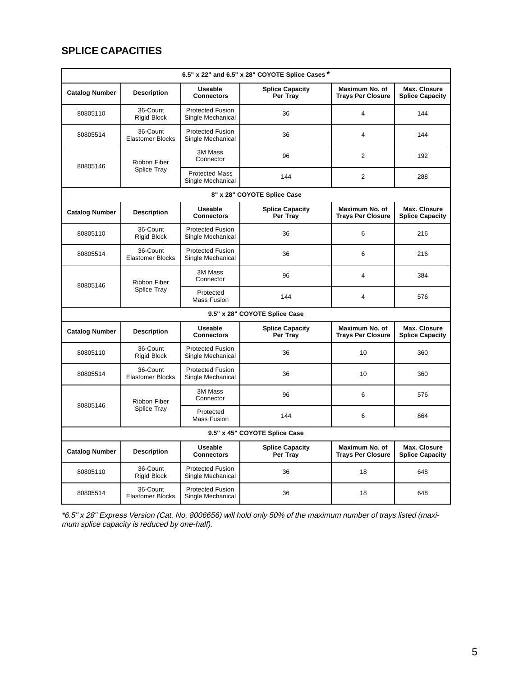# **SPLICE CAPACITIES**

| 6.5" x 22" and 6.5" x 28" COYOTE Splice Cases * |                                     |                                              |                                    |                                            |                                        |  |
|-------------------------------------------------|-------------------------------------|----------------------------------------------|------------------------------------|--------------------------------------------|----------------------------------------|--|
| <b>Catalog Number</b>                           | <b>Description</b>                  | <b>Useable</b><br><b>Connectors</b>          | <b>Splice Capacity</b><br>Per Tray | Maximum No. of<br><b>Trays Per Closure</b> | Max. Closure<br><b>Splice Capacity</b> |  |
| 80805110                                        | 36-Count<br><b>Rigid Block</b>      | <b>Protected Fusion</b><br>Single Mechanical | 36                                 | 4                                          | 144                                    |  |
| 80805514                                        | 36-Count<br><b>Elastomer Blocks</b> | <b>Protected Fusion</b><br>Single Mechanical | 36                                 | 4                                          | 144                                    |  |
| 80805146                                        | Ribbon Fiber<br>Splice Tray         | 3M Mass<br>Connector                         | 96                                 | $\overline{2}$                             | 192                                    |  |
|                                                 |                                     | <b>Protected Mass</b><br>Single Mechanical   | 144                                | $\overline{c}$                             | 288                                    |  |
| 8" x 28" COYOTE Splice Case                     |                                     |                                              |                                    |                                            |                                        |  |
| <b>Catalog Number</b>                           | <b>Description</b>                  | <b>Useable</b><br><b>Connectors</b>          | <b>Splice Capacity</b><br>Per Tray | Maximum No. of<br><b>Trays Per Closure</b> | Max. Closure<br><b>Splice Capacity</b> |  |
| 80805110                                        | 36-Count<br><b>Rigid Block</b>      | <b>Protected Fusion</b><br>Single Mechanical | 36                                 | 6                                          | 216                                    |  |
| 80805514                                        | 36-Count<br><b>Elastomer Blocks</b> | <b>Protected Fusion</b><br>Single Mechanical | 36                                 | 6                                          | 216                                    |  |
| 80805146                                        | <b>Ribbon Fiber</b>                 | 3M Mass<br>Connector                         | 96                                 | 4                                          | 384                                    |  |
|                                                 | Splice Tray                         | Protected<br>Mass Fusion                     | 144                                | 4                                          | 576                                    |  |
|                                                 |                                     |                                              | 9.5" x 28" COYOTE Splice Case      |                                            |                                        |  |
| <b>Catalog Number</b>                           | <b>Description</b>                  | <b>Useable</b><br><b>Connectors</b>          | <b>Splice Capacity</b><br>Per Tray | Maximum No. of<br><b>Trays Per Closure</b> | Max. Closure<br><b>Splice Capacity</b> |  |
| 80805110                                        | 36-Count<br><b>Rigid Block</b>      | <b>Protected Fusion</b><br>Single Mechanical | 36                                 | 10                                         | 360                                    |  |
| 80805514                                        | 36-Count<br><b>Elastomer Blocks</b> | <b>Protected Fusion</b><br>Single Mechanical | 36                                 | 10                                         | 360                                    |  |
|                                                 | Ribbon Fiber<br>Splice Tray         | 3M Mass<br>Connector                         | 96                                 | 6                                          | 576                                    |  |
| 80805146                                        |                                     | Protected<br>Mass Fusion                     | 144                                | 6                                          | 864                                    |  |
| 9.5" x 45" COYOTE Splice Case                   |                                     |                                              |                                    |                                            |                                        |  |
| <b>Catalog Number</b>                           | <b>Description</b>                  | <b>Useable</b><br><b>Connectors</b>          | <b>Splice Capacity</b><br>Per Tray | Maximum No. of<br><b>Trays Per Closure</b> | Max. Closure<br><b>Splice Capacity</b> |  |
| 80805110                                        | 36-Count<br><b>Rigid Block</b>      | <b>Protected Fusion</b><br>Single Mechanical | 36                                 | 18                                         | 648                                    |  |
| 80805514                                        | 36-Count<br><b>Elastomer Blocks</b> | Protected Fusion<br>Single Mechanical        | 36                                 | 18                                         | 648                                    |  |

\*6.5" x 28" Express Version (Cat. No. 8006656) will hold only 50% of the maximum number of trays listed (maximum splice capacity is reduced by one-half).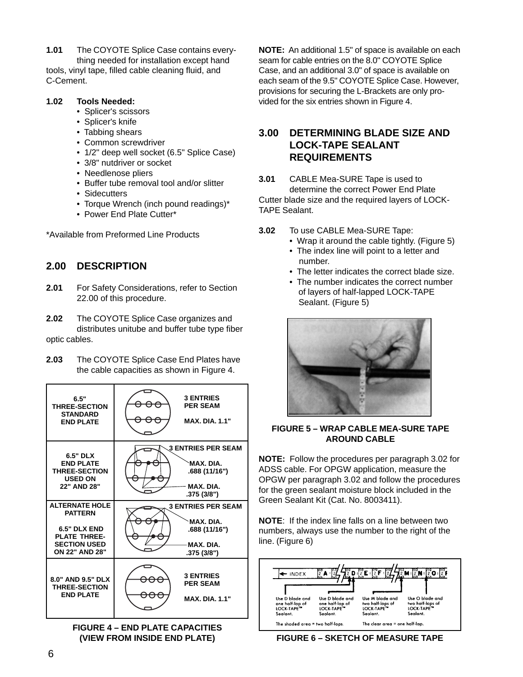**1.01** The COYOTE Splice Case contains everything needed for installation except hand tools, vinyl tape, filled cable cleaning fluid, and C-Cement.

#### **1.02 Tools Needed:**

- Splicer's scissors
- Splicer's knife
- Tabbing shears
- Common screwdriver
- 1/2" deep well socket (6.5" Splice Case)
- 3/8" nutdriver or socket
- Needlenose pliers
- Buffer tube removal tool and/or slitter
- Sidecutters
- Torque Wrench (inch pound readings)\*
- Power End Plate Cutter\*

\*Available from Preformed Line Products

#### **2.00 DESCRIPTION**

**2.01** For Safety Considerations, refer to Section 22.00 of this procedure.

**2.02** The COYOTE Splice Case organizes and distributes unitube and buffer tube type fiber optic cables.

**2.03** The COYOTE Splice Case End Plates have the cable capacities as shown in Figure 4.



**FIGURE 4 – END PLATE CAPACITIES (VIEW FROM INSIDE END PLATE)**

**NOTE:** An additional 1.5" of space is available on each seam for cable entries on the 8.0" COYOTE Splice Case, and an additional 3.0" of space is available on each seam of the 9.5" COYOTE Splice Case. However, provisions for securing the L-Brackets are only provided for the six entries shown in Figure 4.

### **3.00 DETERMINING BLADE SIZE AND LOCK-TAPE SEALANT REQUIREMENTS**

- **3.01** CABLE Mea-SURE Tape is used to determine the correct Power End Plate Cutter blade size and the required layers of LOCK-TAPE Sealant.
- **3.02** To use CABLE Mea-SURE Tape:
	- Wrap it around the cable tightly. (Figure 5)
	- The index line will point to a letter and number.
	- The letter indicates the correct blade size.
	- The number indicates the correct number of layers of half-lapped LOCK-TAPE Sealant. (Figure 5)



**FIGURE 5 – WRAP CABLE MEA-SURE TAPE AROUND CABLE**

**NOTE:** Follow the procedures per paragraph 3.02 for ADSS cable. For OPGW application, measure the OPGW per paragraph 3.02 and follow the procedures for the green sealant moisture block included in the Green Sealant Kit (Cat. No. 8003411).

**NOTE**: If the index line falls on a line between two numbers, always use the number to the right of the line. (Figure 6)



**FIGURE 6 – SKETCH OF MEASURE TAPE**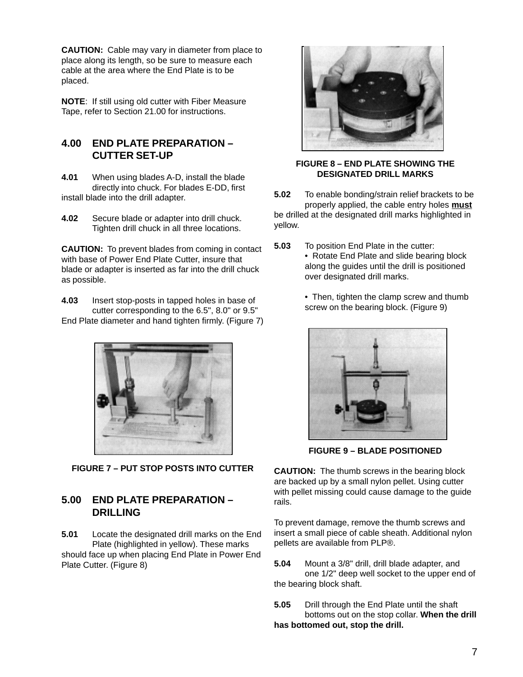**CAUTION:** Cable may vary in diameter from place to place along its length, so be sure to measure each cable at the area where the End Plate is to be placed.

**NOTE**: If still using old cutter with Fiber Measure Tape, refer to Section 21.00 for instructions.

### **4.00 END PLATE PREPARATION – CUTTER SET-UP**

**4.01** When using blades A-D, install the blade directly into chuck. For blades E-DD, first install blade into the drill adapter.

**4.02** Secure blade or adapter into drill chuck. Tighten drill chuck in all three locations.

**CAUTION:** To prevent blades from coming in contact with base of Power End Plate Cutter, insure that blade or adapter is inserted as far into the drill chuck as possible.

**4.03** Insert stop-posts in tapped holes in base of cutter corresponding to the 6.5", 8.0" or 9.5" End Plate diameter and hand tighten firmly. (Figure 7)





### **5.00 END PLATE PREPARATION – DRILLING**

**5.01** Locate the designated drill marks on the End Plate (highlighted in yellow). These marks should face up when placing End Plate in Power End Plate Cutter. (Figure 8)



#### **FIGURE 8 – END PLATE SHOWING THE DESIGNATED DRILL MARKS**

**5.02** To enable bonding/strain relief brackets to be properly applied, the cable entry holes **must** be drilled at the designated drill marks highlighted in yellow.

- **5.03** To position End Plate in the cutter: • Rotate End Plate and slide bearing block along the guides until the drill is positioned over designated drill marks.
	- Then, tighten the clamp screw and thumb screw on the bearing block. (Figure 9)



**FIGURE 9 – BLADE POSITIONED**

**CAUTION:** The thumb screws in the bearing block are backed up by a small nylon pellet. Using cutter with pellet missing could cause damage to the guide rails.

To prevent damage, remove the thumb screws and insert a small piece of cable sheath. Additional nylon pellets are available from PLP®.

- **5.04** Mount a 3/8" drill, drill blade adapter, and one 1/2" deep well socket to the upper end of the bearing block shaft.
- **5.05** Drill through the End Plate until the shaft bottoms out on the stop collar. **When the drill has bottomed out, stop the drill.**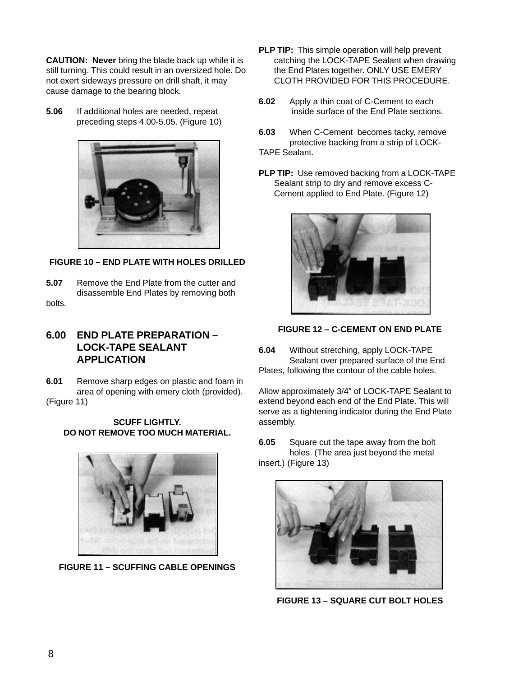**CAUTION: Never** bring the blade back up while it is still turning. This could result in an oversized hole. Do not exert sideways pressure on drill shaft, it may cause damage to the bearing block.

**5.06** If additional holes are needed, repeat preceding steps 4.00-5.05. (Figure 10)



**FIGURE 10 – END PLATE WITH HOLES DRILLED**

**5.07** Remove the End Plate from the cutter and disassemble End Plates by removing both bolts.

### **6.00 END PLATE PREPARATION – LOCK-TAPE SEALANT APPLICATION**

**6.01** Remove sharp edges on plastic and foam in area of opening with emery cloth (provided). (Figure 11)

#### **SCUFF LIGHTLY. DO NOT REMOVE TOO MUCH MATERIAL.**



**FIGURE 11 – SCUFFING CABLE OPENINGS**

- **PLP TIP:** This simple operation will help prevent catching the LOCK-TAPE Sealant when drawing the End Plates together. ONLY USE EMERY CLOTH PROVIDED FOR THIS PROCEDURE.
- **6.02** Apply a thin coat of C-Cement to each inside surface of the End Plate sections.
- **6.03** When C-Cement becomes tacky, remove protective backing from a strip of LOCK-TAPE Sealant.
- **PLP TIP:** Use removed backing from a LOCK-TAPE Sealant strip to dry and remove excess C-Cement applied to End Plate. (Figure 12)





**6.04** Without stretching, apply LOCK-TAPE Sealant over prepared surface of the End Plates, following the contour of the cable holes.

Allow approximately 3/4" of LOCK-TAPE Sealant to extend beyond each end of the End Plate. This will serve as a tightening indicator during the End Plate assembly.

**6.05** Square cut the tape away from the bolt holes. (The area just beyond the metal insert.) (Figure 13)



**FIGURE 13 – SQUARE CUT BOLT HOLES**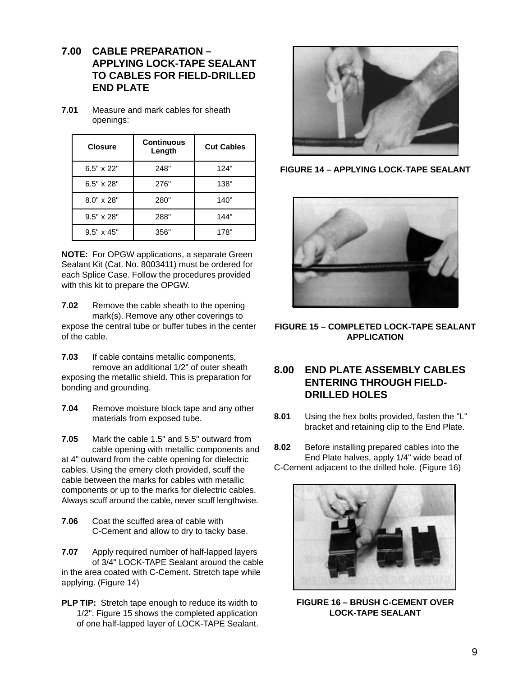## **7.00 CABLE PREPARATION – APPLYING LOCK-TAPE SEALANT TO CABLES FOR FIELD-DRILLED END PLATE**

| <b>Closure</b>    | <b>Continuous</b><br>Length | <b>Cut Cables</b> |
|-------------------|-----------------------------|-------------------|
| $6.5" \times 22"$ | 248"                        | 124"              |
| $6.5" \times 28"$ | 276"                        | 138"              |
| $8.0" \times 28"$ | 280"                        | 140"              |
| $9.5" \times 28"$ | 288"                        | 144"              |
| $9.5" \times 45"$ | 356"                        | 178"              |

**7.01** Measure and mark cables for sheath openings:

**NOTE:** For OPGW applications, a separate Green Sealant Kit (Cat. No. 8003411) must be ordered for each Splice Case. Follow the procedures provided with this kit to prepare the OPGW.

**7.02** Remove the cable sheath to the opening mark(s). Remove any other coverings to expose the central tube or buffer tubes in the center of the cable.

**7.03** If cable contains metallic components, remove an additional 1/2" of outer sheath exposing the metallic shield. This is preparation for bonding and grounding.

**7.04** Remove moisture block tape and any other materials from exposed tube.

**7.05** Mark the cable 1.5" and 5.5" outward from cable opening with metallic components and at 4" outward from the cable opening for dielectric cables. Using the emery cloth provided, scuff the cable between the marks for cables with metallic components or up to the marks for dielectric cables. Always scuff around the cable, never scuff lengthwise.

**7.06** Coat the scuffed area of cable with C-Cement and allow to dry to tacky base.

**7.07** Apply required number of half-lapped layers of 3/4" LOCK-TAPE Sealant around the cable in the area coated with C-Cement. Stretch tape while applying. (Figure 14)

**PLP TIP:** Stretch tape enough to reduce its width to 1/2". Figure 15 shows the completed application of one half-lapped layer of LOCK-TAPE Sealant.



**FIGURE 14 – APPLYING LOCK-TAPE SEALANT**



**FIGURE 15 – COMPLETED LOCK-TAPE SEALANT APPLICATION**

### **8.00 END PLATE ASSEMBLY CABLES ENTERING THROUGH FIELD-DRILLED HOLES**

- **8.01** Using the hex bolts provided, fasten the "L" bracket and retaining clip to the End Plate.
- **8.02** Before installing prepared cables into the End Plate halves, apply 1/4" wide bead of C-Cement adjacent to the drilled hole. (Figure 16)



**FIGURE 16 – BRUSH C-CEMENT OVER LOCK-TAPE SEALANT**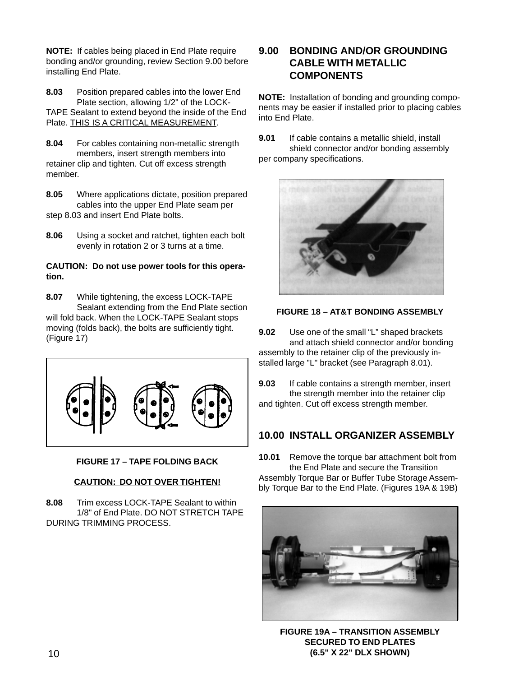**NOTE:** If cables being placed in End Plate require bonding and/or grounding, review Section 9.00 before installing End Plate.

**8.03** Position prepared cables into the lower End Plate section, allowing 1/2" of the LOCK-TAPE Sealant to extend beyond the inside of the End Plate. THIS IS A CRITICAL MEASUREMENT.

**8.04** For cables containing non-metallic strength members, insert strength members into retainer clip and tighten. Cut off excess strength member.

**8.05** Where applications dictate, position prepared cables into the upper End Plate seam per step 8.03 and insert End Plate bolts.

**8.06** Using a socket and ratchet, tighten each bolt evenly in rotation 2 or 3 turns at a time.

#### **CAUTION: Do not use power tools for this operation.**

**8.07** While tightening, the excess LOCK-TAPE Sealant extending from the End Plate section will fold back. When the LOCK-TAPE Sealant stops moving (folds back), the bolts are sufficiently tight. (Figure 17)



#### **FIGURE 17 – TAPE FOLDING BACK**

#### **CAUTION: DO NOT OVER TIGHTEN!**

**8.08** Trim excess LOCK-TAPE Sealant to within 1/8" of End Plate. DO NOT STRETCH TAPE DURING TRIMMING PROCESS.

### **9.00 BONDING AND/OR GROUNDING CABLE WITH METALLIC COMPONENTS**

**NOTE:** Installation of bonding and grounding components may be easier if installed prior to placing cables into End Plate.

**9.01** If cable contains a metallic shield, install shield connector and/or bonding assembly per company specifications.





**9.02** Use one of the small "L" shaped brackets and attach shield connector and/or bonding assembly to the retainer clip of the previously installed large "L" bracket (see Paragraph 8.01).

**9.03** If cable contains a strength member, insert the strength member into the retainer clip and tighten. Cut off excess strength member.

# **10.00 INSTALL ORGANIZER ASSEMBLY**

**10.01** Remove the torque bar attachment bolt from the End Plate and secure the Transition Assembly Torque Bar or Buffer Tube Storage Assembly Torque Bar to the End Plate. (Figures 19A & 19B)



**FIGURE 19A – TRANSITION ASSEMBLY SECURED TO END PLATES (6.5" X 22" DLX SHOWN)**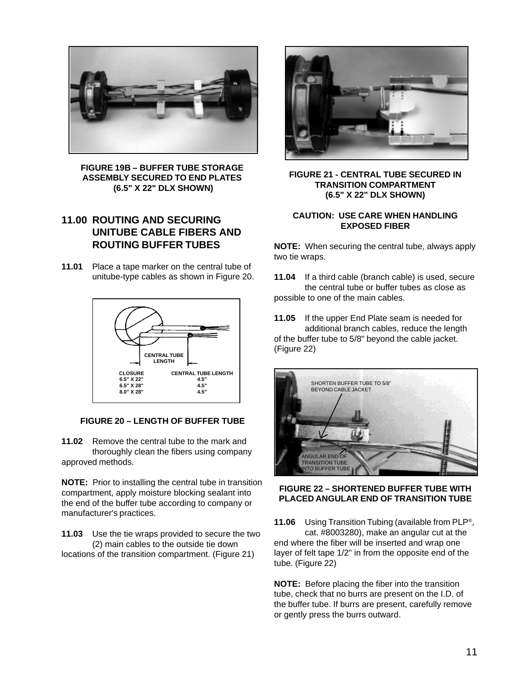

**FIGURE 19B – BUFFER TUBE STORAGE ASSEMBLY SECURED TO END PLATES (6.5" X 22" DLX SHOWN)**

### **11.00 ROUTING AND SECURING UNITUBE CABLE FIBERS AND ROUTING BUFFER TUBES**

**11.01** Place a tape marker on the central tube of unitube-type cables as shown in Figure 20.



#### **FIGURE 20 – LENGTH OF BUFFER TUBE**

**11.02** Remove the central tube to the mark and thoroughly clean the fibers using company approved methods.

**NOTE:** Prior to installing the central tube in transition compartment, apply moisture blocking sealant into the end of the buffer tube according to company or manufacturer's practices.

**11.03** Use the tie wraps provided to secure the two (2) main cables to the outside tie down locations of the transition compartment. (Figure 21)



#### **FIGURE 21 - CENTRAL TUBE SECURED IN TRANSITION COMPARTMENT (6.5" X 22" DLX SHOWN)**

#### **CAUTION: USE CARE WHEN HANDLING EXPOSED FIBER**

**NOTE:** When securing the central tube, always apply two tie wraps.

**11.04** If a third cable (branch cable) is used, secure the central tube or buffer tubes as close as possible to one of the main cables.

**11.05** If the upper End Plate seam is needed for additional branch cables, reduce the length of the buffer tube to 5/8" beyond the cable jacket. (Figure 22)



**FIGURE 22 – SHORTENED BUFFER TUBE WITH PLACED ANGULAR END OF TRANSITION TUBE**

**11.06** Using Transition Tubing (available from PLP®, cat. #8003280), make an angular cut at the end where the fiber will be inserted and wrap one layer of felt tape 1/2" in from the opposite end of the tube. (Figure 22)

**NOTE:** Before placing the fiber into the transition tube, check that no burrs are present on the I.D. of the buffer tube. If burrs are present, carefully remove or gently press the burrs outward.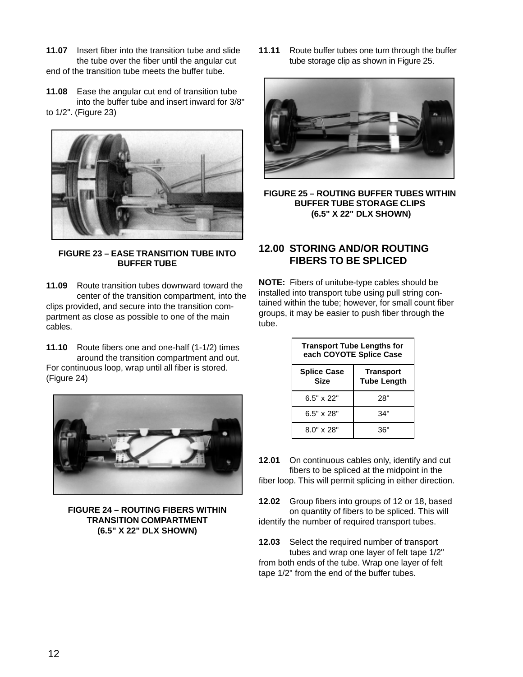- **11.07** Insert fiber into the transition tube and slide the tube over the fiber until the angular cut end of the transition tube meets the buffer tube.
- **11.08** Ease the angular cut end of transition tube into the buffer tube and insert inward for 3/8" to 1/2". (Figure 23)



**FIGURE 23 – EASE TRANSITION TUBE INTO BUFFER TUBE**

**11.09** Route transition tubes downward toward the center of the transition compartment, into the clips provided, and secure into the transition compartment as close as possible to one of the main cables.

**11.10** Route fibers one and one-half (1-1/2) times around the transition compartment and out. For continuous loop, wrap until all fiber is stored. (Figure 24)



**FIGURE 24 – ROUTING FIBERS WITHIN TRANSITION COMPARTMENT (6.5" X 22" DLX SHOWN)**

**11.11** Route buffer tubes one turn through the buffer tube storage clip as shown in Figure 25.



**FIGURE 25 – ROUTING BUFFER TUBES WITHIN BUFFER TUBE STORAGE CLIPS (6.5" X 22" DLX SHOWN)**

### **12.00 STORING AND/OR ROUTING FIBERS TO BE SPLICED**

**NOTE:** Fibers of unitube-type cables should be installed into transport tube using pull string contained within the tube; however, for small count fiber groups, it may be easier to push fiber through the tube.

| <b>Transport Tube Lengths for</b><br>each COYOTE Splice Case |                                        |  |
|--------------------------------------------------------------|----------------------------------------|--|
| <b>Splice Case</b><br>Size                                   | <b>Transport</b><br><b>Tube Length</b> |  |
| $6.5" \times 22"$                                            | 28"                                    |  |
| $6.5" \times 28"$                                            | :34"                                   |  |
| $8.0" \times 28"$                                            | 36"                                    |  |

**12.01** On continuous cables only, identify and cut fibers to be spliced at the midpoint in the

fiber loop. This will permit splicing in either direction.

**12.02** Group fibers into groups of 12 or 18, based on quantity of fibers to be spliced. This will identify the number of required transport tubes.

**12.03** Select the required number of transport tubes and wrap one layer of felt tape 1/2" from both ends of the tube. Wrap one layer of felt tape 1/2" from the end of the buffer tubes.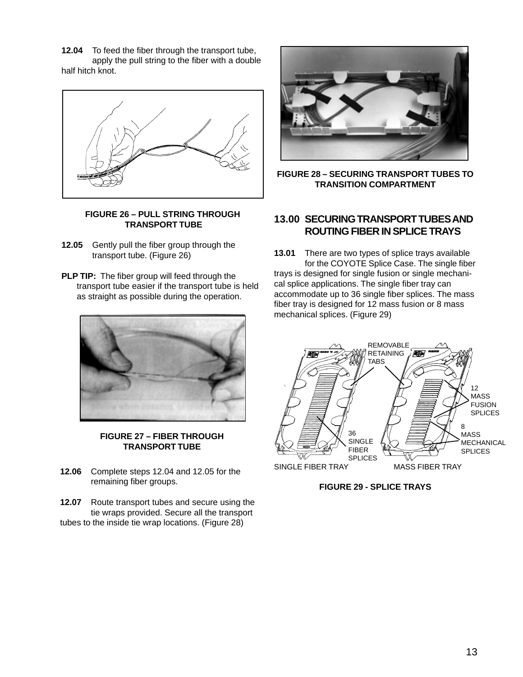**12.04** To feed the fiber through the transport tube, apply the pull string to the fiber with a double half hitch knot.



#### **FIGURE 26 – PULL STRING THROUGH TRANSPORT TUBE**

- **12.05** Gently pull the fiber group through the transport tube. (Figure 26)
- **PLP TIP:** The fiber group will feed through the transport tube easier if the transport tube is held as straight as possible during the operation.



**FIGURE 27 – FIBER THROUGH TRANSPORT TUBE**

- **12.06** Complete steps 12.04 and 12.05 for the remaining fiber groups.
- **12.07** Route transport tubes and secure using the tie wraps provided. Secure all the transport tubes to the inside tie wrap locations. (Figure 28)



**FIGURE 28 – SECURING TRANSPORT TUBES TO TRANSITION COMPARTMENT**

#### **13.00 SECURING TRANSPORT TUBES AND ROUTING FIBER IN SPLICE TRAYS**

**13.01** There are two types of splice trays available for the COYOTE Splice Case. The single fiber trays is designed for single fusion or single mechanical splice applications. The single fiber tray can accommodate up to 36 single fiber splices. The mass fiber tray is designed for 12 mass fusion or 8 mass mechanical splices. (Figure 29)



#### **FIGURE 29 - SPLICE TRAYS**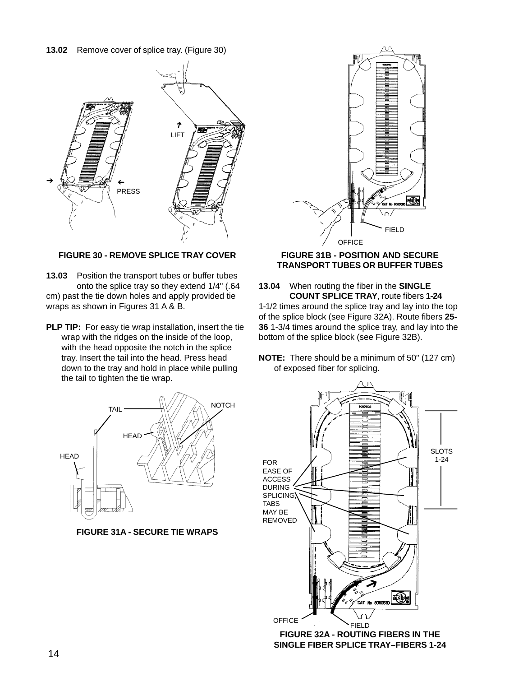

**FIGURE 30 - REMOVE SPLICE TRAY COVER**

- **13.03** Position the transport tubes or buffer tubes onto the splice tray so they extend 1/4" (.64 cm) past the tie down holes and apply provided tie wraps as shown in Figures 31 A & B.
- **PLP TIP:** For easy tie wrap installation, insert the tie wrap with the ridges on the inside of the loop, with the head opposite the notch in the splice tray. Insert the tail into the head. Press head down to the tray and hold in place while pulling the tail to tighten the tie wrap.



**FIGURE 31A - SECURE TIE WRAPS**



#### **FIGURE 31B - POSITION AND SECURE TRANSPORT TUBES OR BUFFER TUBES**

**13.04** When routing the fiber in the **SINGLE COUNT SPLICE TRAY**, route fibers **1-24** 1-1/2 times around the splice tray and lay into the top of the splice block (see Figure 32A). Route fibers **25- 36** 1-3/4 times around the splice tray, and lay into the bottom of the splice block (see Figure 32B).

**NOTE:** There should be a minimum of 50" (127 cm) of exposed fiber for splicing.



**SINGLE FIBER SPLICE TRAY–FIBERS 1-24**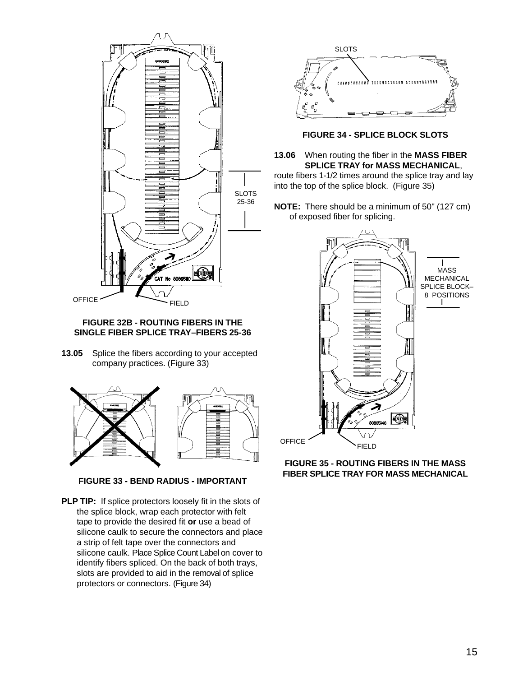

#### **FIGURE 32B - ROUTING FIBERS IN THE SINGLE FIBER SPLICE TRAY–FIBERS 25-36**

**13.05** Splice the fibers according to your accepted company practices. (Figure 33)



**FIGURE 33 - BEND RADIUS - IMPORTANT**

**PLP TIP:** If splice protectors loosely fit in the slots of the splice block, wrap each protector with felt tape to provide the desired fit **or** use a bead of silicone caulk to secure the connectors and place a strip of felt tape over the connectors and silicone caulk. Place Splice Count Label on cover to identify fibers spliced. On the back of both trays, slots are provided to aid in the removal of splice protectors or connectors. (Figure 34)



**FIGURE 34 - SPLICE BLOCK SLOTS**

#### **13.06** When routing the fiber in the **MASS FIBER SPLICE TRAY for MASS MECHANICAL**,

route fibers 1-1/2 times around the splice tray and lay into the top of the splice block. (Figure 35)

**NOTE:** There should be a minimum of 50" (127 cm) of exposed fiber for splicing.



#### **FIGURE 35 - ROUTING FIBERS IN THE MASS FIBER SPLICE TRAY FOR MASS MECHANICAL**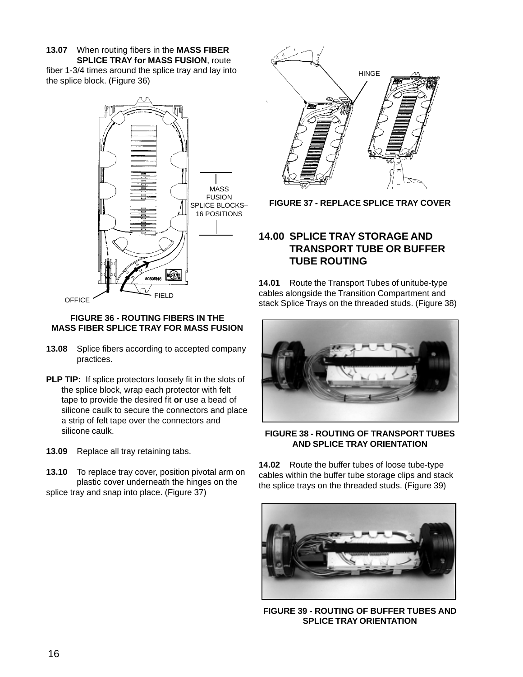**13.07** When routing fibers in the **MASS FIBER SPLICE TRAY for MASS FUSION**, route fiber 1-3/4 times around the splice tray and lay into

the splice block. (Figure 36)



#### **FIGURE 36 - ROUTING FIBERS IN THE MASS FIBER SPLICE TRAY FOR MASS FUSION**

- **13.08** Splice fibers according to accepted company practices.
- **PLP TIP:** If splice protectors loosely fit in the slots of the splice block, wrap each protector with felt tape to provide the desired fit **or** use a bead of silicone caulk to secure the connectors and place a strip of felt tape over the connectors and silicone caulk.
- **13.09** Replace all tray retaining tabs.
- **13.10** To replace tray cover, position pivotal arm on plastic cover underneath the hinges on the splice tray and snap into place. (Figure 37)



**FIGURE 37 - REPLACE SPLICE TRAY COVER**

# **14.00 SPLICE TRAY STORAGE AND TRANSPORT TUBE OR BUFFER TUBE ROUTING**

**14.01** Route the Transport Tubes of unitube-type cables alongside the Transition Compartment and stack Splice Trays on the threaded studs. (Figure 38)



#### **FIGURE 38 - ROUTING OF TRANSPORT TUBES AND SPLICE TRAY ORIENTATION**

**14.02** Route the buffer tubes of loose tube-type cables within the buffer tube storage clips and stack the splice trays on the threaded studs. (Figure 39)



**FIGURE 39 - ROUTING OF BUFFER TUBES AND SPLICE TRAY ORIENTATION**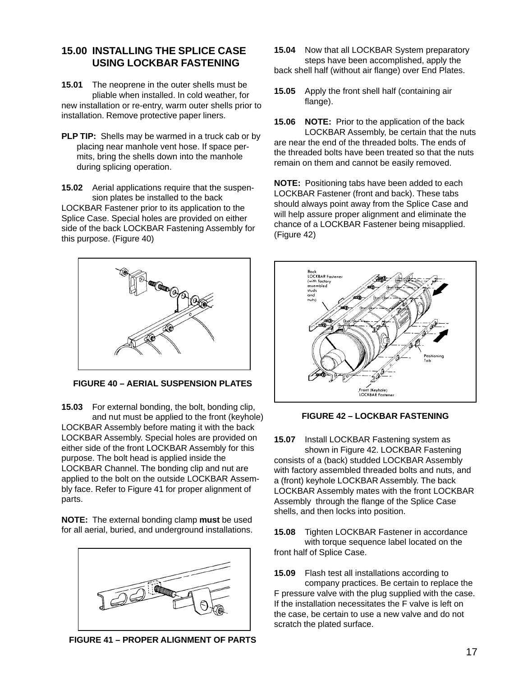### **15.00 INSTALLING THE SPLICE CASE USING LOCKBAR FASTENING**

**15.01** The neoprene in the outer shells must be pliable when installed. In cold weather, for new installation or re-entry, warm outer shells prior to installation. Remove protective paper liners.

**PLP TIP:** Shells may be warmed in a truck cab or by placing near manhole vent hose. If space permits, bring the shells down into the manhole during splicing operation.

**15.02** Aerial applications require that the suspension plates be installed to the back LOCKBAR Fastener prior to its application to the Splice Case. Special holes are provided on either side of the back LOCKBAR Fastening Assembly for this purpose. (Figure 40)



**FIGURE 40 – AERIAL SUSPENSION PLATES**

**15.03** For external bonding, the bolt, bonding clip, and nut must be applied to the front (keyhole) LOCKBAR Assembly before mating it with the back LOCKBAR Assembly. Special holes are provided on either side of the front LOCKBAR Assembly for this purpose. The bolt head is applied inside the LOCKBAR Channel. The bonding clip and nut are applied to the bolt on the outside LOCKBAR Assembly face. Refer to Figure 41 for proper alignment of parts.

**NOTE:** The external bonding clamp **must** be used for all aerial, buried, and underground installations.



**FIGURE 41 – PROPER ALIGNMENT OF PARTS**

- **15.04** Now that all LOCKBAR System preparatory steps have been accomplished, apply the back shell half (without air flange) over End Plates.
- **15.05** Apply the front shell half (containing air flange).
- **15.06 NOTE:** Prior to the application of the back LOCKBAR Assembly, be certain that the nuts are near the end of the threaded bolts. The ends of the threaded bolts have been treated so that the nuts remain on them and cannot be easily removed.

**NOTE:** Positioning tabs have been added to each LOCKBAR Fastener (front and back). These tabs should always point away from the Splice Case and will help assure proper alignment and eliminate the chance of a LOCKBAR Fastener being misapplied. (Figure 42)



**FIGURE 42 – LOCKBAR FASTENING**

**15.07** Install LOCKBAR Fastening system as shown in Figure 42. LOCKBAR Fastening consists of a (back) studded LOCKBAR Assembly with factory assembled threaded bolts and nuts, and a (front) keyhole LOCKBAR Assembly. The back LOCKBAR Assembly mates with the front LOCKBAR Assembly through the flange of the Splice Case shells, and then locks into position.

**15.08** Tighten LOCKBAR Fastener in accordance with torque sequence label located on the front half of Splice Case.

**15.09** Flash test all installations according to company practices. Be certain to replace the F pressure valve with the plug supplied with the case. If the installation necessitates the F valve is left on the case, be certain to use a new valve and do not scratch the plated surface.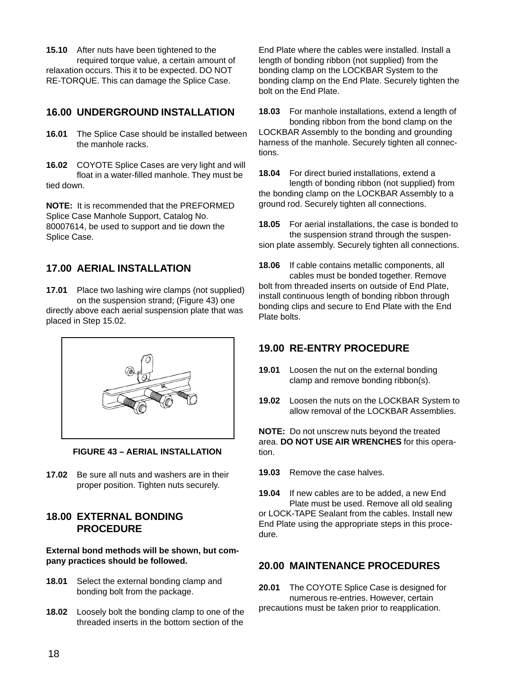**15.10** After nuts have been tightened to the required torque value, a certain amount of relaxation occurs. This it to be expected. DO NOT RE-TORQUE. This can damage the Splice Case.

## **16.00 UNDERGROUND INSTALLATION**

**16.01** The Splice Case should be installed between the manhole racks.

**16.02** COYOTE Splice Cases are very light and will float in a water-filled manhole. They must be tied down.

**NOTE:** It is recommended that the PREFORMED Splice Case Manhole Support, Catalog No. 80007614, be used to support and tie down the Splice Case.

## **17.00 AERIAL INSTALLATION**

**17.01** Place two lashing wire clamps (not supplied) on the suspension strand; (Figure 43) one directly above each aerial suspension plate that was placed in Step 15.02.



**FIGURE 43 – AERIAL INSTALLATION**

**17.02** Be sure all nuts and washers are in their proper position. Tighten nuts securely.

### **18.00 EXTERNAL BONDING PROCEDURE**

**External bond methods will be shown, but company practices should be followed.**

- **18.01** Select the external bonding clamp and bonding bolt from the package.
- **18.02** Loosely bolt the bonding clamp to one of the threaded inserts in the bottom section of the

End Plate where the cables were installed. Install a length of bonding ribbon (not supplied) from the bonding clamp on the LOCKBAR System to the bonding clamp on the End Plate. Securely tighten the bolt on the End Plate.

**18.03** For manhole installations, extend a length of bonding ribbon from the bond clamp on the

LOCKBAR Assembly to the bonding and grounding harness of the manhole. Securely tighten all connections.

**18.04** For direct buried installations, extend a length of bonding ribbon (not supplied) from the bonding clamp on the LOCKBAR Assembly to a ground rod. Securely tighten all connections.

**18.05** For aerial installations, the case is bonded to the suspension strand through the suspension plate assembly. Securely tighten all connections.

**18.06** If cable contains metallic components, all cables must be bonded together. Remove bolt from threaded inserts on outside of End Plate, install continuous length of bonding ribbon through bonding clips and secure to End Plate with the End Plate bolts.

## **19.00 RE-ENTRY PROCEDURE**

- **19.01** Loosen the nut on the external bonding clamp and remove bonding ribbon(s).
- **19.02** Loosen the nuts on the LOCKBAR System to allow removal of the LOCKBAR Assemblies.

**NOTE:** Do not unscrew nuts beyond the treated area. **DO NOT USE AIR WRENCHES** for this operation.

**19.03** Remove the case halves.

**19.04** If new cables are to be added, a new End Plate must be used. Remove all old sealing or LOCK-TAPE Sealant from the cables. Install new End Plate using the appropriate steps in this procedure.

## **20.00 MAINTENANCE PROCEDURES**

**20.01** The COYOTE Splice Case is designed for numerous re-entries. However, certain precautions must be taken prior to reapplication.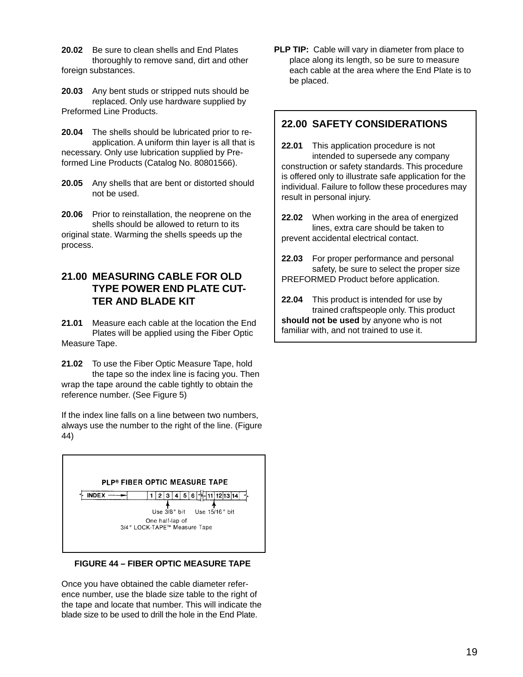**20.02** Be sure to clean shells and End Plates thoroughly to remove sand, dirt and other foreign substances.

**20.03** Any bent studs or stripped nuts should be replaced. Only use hardware supplied by Preformed Line Products.

**20.04** The shells should be lubricated prior to reapplication. A uniform thin layer is all that is necessary. Only use lubrication supplied by Preformed Line Products (Catalog No. 80801566).

**20.05** Any shells that are bent or distorted should not be used.

**20.06** Prior to reinstallation, the neoprene on the shells should be allowed to return to its original state. Warming the shells speeds up the process.

## **21.00 MEASURING CABLE FOR OLD TYPE POWER END PLATE CUT-TER AND BLADE KIT**

**21.01** Measure each cable at the location the End Plates will be applied using the Fiber Optic Measure Tape.

**21.02** To use the Fiber Optic Measure Tape, hold the tape so the index line is facing you. Then wrap the tape around the cable tightly to obtain the reference number. (See Figure 5)

If the index line falls on a line between two numbers, always use the number to the right of the line. (Figure 44)



#### **FIGURE 44 – FIBER OPTIC MEASURE TAPE**

Once you have obtained the cable diameter reference number, use the blade size table to the right of the tape and locate that number. This will indicate the blade size to be used to drill the hole in the End Plate.

**PLP TIP:** Cable will vary in diameter from place to place along its length, so be sure to measure each cable at the area where the End Plate is to be placed.

# **22.00 SAFETY CONSIDERATIONS**

**22.01** This application procedure is not intended to supersede any company construction or safety standards. This procedure is offered only to illustrate safe application for the individual. Failure to follow these procedures may result in personal injury.

**22.02** When working in the area of energized lines, extra care should be taken to prevent accidental electrical contact.

**22.03** For proper performance and personal safety, be sure to select the proper size PREFORMED Product before application.

**22.04** This product is intended for use by trained craftspeople only. This product **should not be used** by anyone who is not familiar with, and not trained to use it.